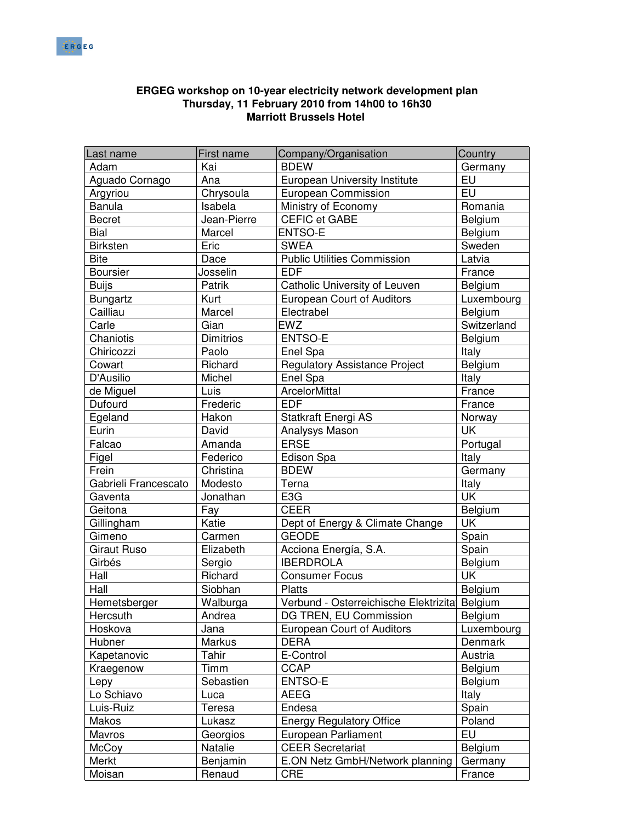

## Last name First name Company/Organisation Country Adam Kai BDEW Germany Aguado Cornago Ana European University Institute EU Argyriou | Chrysoula | European Commission | EU Banula 1992 Isabela Ministry of Economy<br>Becret Jean-Pierre CEFIC et GABE Belgium Becret | Jean-Pierre | CEFIC et GABE | Belgium Bial Marcel ENTSO-E Bial Belgium Birksten | Eric | SWEA | Sweden Bite **Dace** Public Utilities Commission Latvia Boursier **Josselin EDF France** Buijs **Patrik** | Catholic University of Leuven | Belgium Bungartz | Kurt | European Court of Auditors | Luxembourg Cailliau Marcel Electrabel Belgium Carle Gian EWZ Switzerland Chaniotis | Dimitrios | ENTSO-E | Belgium Chiricozzi Paolo Enel Spa Italy Cowart Richard Regulatory Assistance Project Belgium D'Ausilio | Michel | Enel Spa | Italy de Miquel **Luis** ArcelorMittal **Alleman Communist Example 2** France Dufourd | Frederic | EDF | France | France Egeland Hakon Statkraft Energi AS Norway Eurin David Analysys Mason UK Falcao | Amanda | ERSE | Portugal Figel Federico Bison Spa Frein Christina BDEW Germany Gabrieli Francescato | Modesto | Terna Italy | Terna Italy | Terna Italy | Italy Gaventa Jonathan E3G UK<br>Geitona Fay CEER Belgium Geitona | Fay | CEER | Belgium Gillingham | Katie | Dept of Energy & Climate Change | UK Gimeno | Carmen | GEODE | Spain Giraut Ruso  $\vert$  Elizabeth  $\vert$  Acciona Energía, S.A. Spain Girbés | Sergio | IBERDROLA | Belgium Hall Richard Consumer Focus UK Hall Biobhan Platts Belgium Hemetsberger | Walburga | Verbund - Osterreichische Elektrizitat Belgium Hercsuth Andrea DG TREN, EU Commission Belgium Hoskova Jana | European Court of Auditors | Luxembourg Hubner Markus DERA Denmark Kapetanovic | Tahir | E-Control | Austria Kraegenow Timm CCAP Belgium Lepy Sebastien ENTSO-E Belgium Lo Schiavo Luca AEEG Italy Luis-Ruiz | Teresa | Endesa | Spain Makos Lukasz | Energy Regulatory Office | Poland Mavros Georgios European Parliament EU McCoy **Natalie** CEER Secretariat Belgium Merkt Benjamin E.ON Netz GmbH/Network planning Germany Moisan Renaud CRE France

## **ERGEG workshop on 10-year electricity network development plan Thursday, 11 February 2010 from 14h00 to 16h30 Marriott Brussels Hotel**